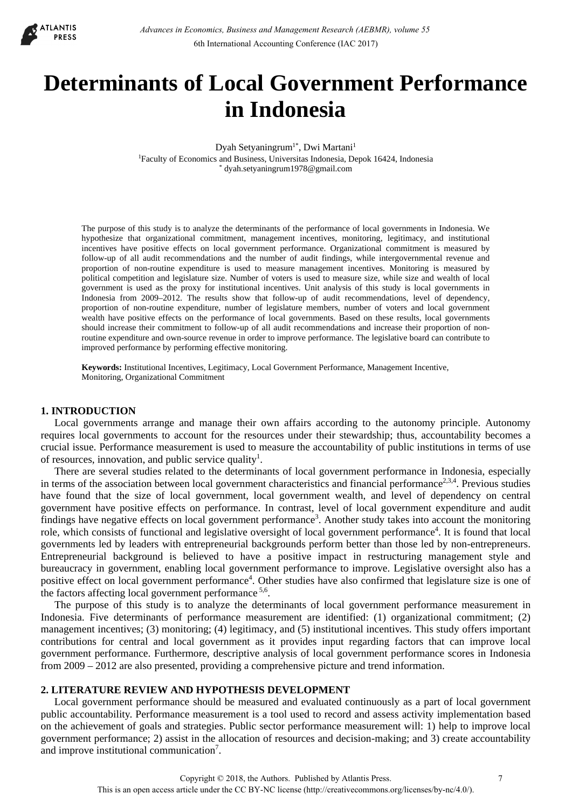

# **Determinants of Local Government Performance in Indonesia**

Dyah Setyaningrum<sup>1\*</sup>, Dwi Martani<sup>1</sup>

1Faculty of Economics and Business, Universitas Indonesia, Depok 16424, Indonesia \* dyah.setyaningrum1978@gmail.com

The purpose of this study is to analyze the determinants of the performance of local governments in Indonesia. We hypothesize that organizational commitment, management incentives, monitoring, legitimacy, and institutional incentives have positive effects on local government performance. Organizational commitment is measured by follow-up of all audit recommendations and the number of audit findings, while intergovernmental revenue and proportion of non-routine expenditure is used to measure management incentives. Monitoring is measured by political competition and legislature size. Number of voters is used to measure size, while size and wealth of local government is used as the proxy for institutional incentives. Unit analysis of this study is local governments in Indonesia from 2009–2012. The results show that follow-up of audit recommendations, level of dependency, proportion of non-routine expenditure, number of legislature members, number of voters and local government wealth have positive effects on the performance of local governments. Based on these results, local governments should increase their commitment to follow-up of all audit recommendations and increase their proportion of nonroutine expenditure and own-source revenue in order to improve performance. The legislative board can contribute to improved performance by performing effective monitoring.

**Keywords:** Institutional Incentives, Legitimacy, Local Government Performance, Management Incentive, Monitoring, Organizational Commitment

### **1. INTRODUCTION**

Local governments arrange and manage their own affairs according to the autonomy principle. Autonomy requires local governments to account for the resources under their stewardship; thus, accountability becomes a crucial issue. Performance measurement is used to measure the accountability of public institutions in terms of use of resources, innovation, and public service quality<sup>1</sup>.

There are several studies related to the determinants of local government performance in Indonesia, especially in terms of the association between local government characteristics and financial performance<sup>2,3,4</sup>. Previous studies have found that the size of local government, local government wealth, and level of dependency on central government have positive effects on performance. In contrast, level of local government expenditure and audit findings have negative effects on local government performance<sup>3</sup>. Another study takes into account the monitoring role, which consists of functional and legislative oversight of local government performance<sup>4</sup>. It is found that local governments led by leaders with entrepreneurial backgrounds perform better than those led by non-entrepreneurs. Entrepreneurial background is believed to have a positive impact in restructuring management style and bureaucracy in government, enabling local government performance to improve. Legislative oversight also has a positive effect on local government performance<sup>4</sup>. Other studies have also confirmed that legislature size is one of the factors affecting local government performance  $5,6$ .

The purpose of this study is to analyze the determinants of local government performance measurement in Indonesia. Five determinants of performance measurement are identified: (1) organizational commitment; (2) management incentives; (3) monitoring; (4) legitimacy, and (5) institutional incentives. This study offers important contributions for central and local government as it provides input regarding factors that can improve local government performance. Furthermore, descriptive analysis of local government performance scores in Indonesia from 2009 – 2012 are also presented, providing a comprehensive picture and trend information.

## **2. LITERATURE REVIEW AND HYPOTHESIS DEVELOPMENT**

Local government performance should be measured and evaluated continuously as a part of local government public accountability. Performance measurement is a tool used to record and assess activity implementation based on the achievement of goals and strategies. Public sector performance measurement will: 1) help to improve local government performance; 2) assist in the allocation of resources and decision-making; and 3) create accountability and improve institutional communication<sup>7</sup>.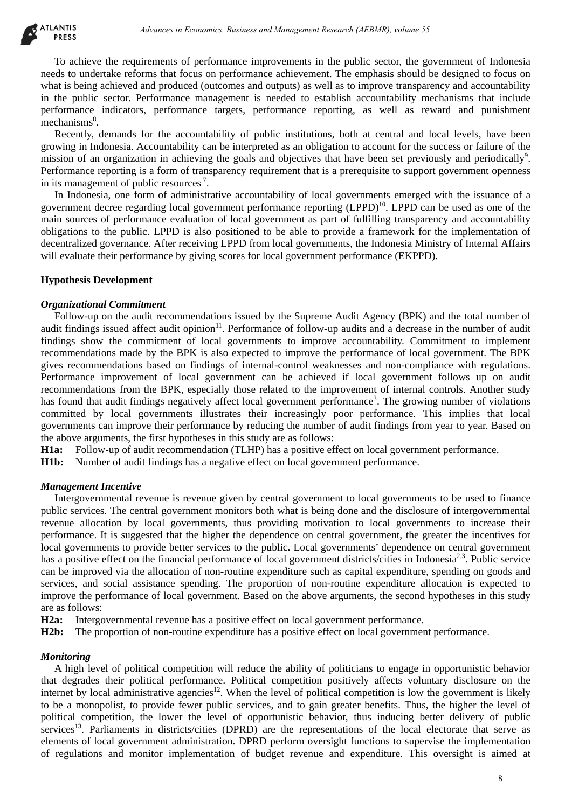To achieve the requirements of performance improvements in the public sector, the government of Indonesia needs to undertake reforms that focus on performance achievement. The emphasis should be designed to focus on what is being achieved and produced (outcomes and outputs) as well as to improve transparency and accountability in the public sector. Performance management is needed to establish accountability mechanisms that include performance indicators, performance targets, performance reporting, as well as reward and punishment mechanisms<sup>8</sup>.

Recently, demands for the accountability of public institutions, both at central and local levels, have been growing in Indonesia. Accountability can be interpreted as an obligation to account for the success or failure of the mission of an organization in achieving the goals and objectives that have been set previously and periodically<sup>9</sup>. Performance reporting is a form of transparency requirement that is a prerequisite to support government openness in its management of public resources 7.

In Indonesia, one form of administrative accountability of local governments emerged with the issuance of a government decree regarding local government performance reporting  $(LPPD)^{10}$ . LPPD can be used as one of the main sources of performance evaluation of local government as part of fulfilling transparency and accountability obligations to the public. LPPD is also positioned to be able to provide a framework for the implementation of decentralized governance. After receiving LPPD from local governments, the Indonesia Ministry of Internal Affairs will evaluate their performance by giving scores for local government performance (EKPPD).

## **Hypothesis Development**

### *Organizational Commitment*

Follow-up on the audit recommendations issued by the Supreme Audit Agency (BPK) and the total number of audit findings issued affect audit opinion<sup>11</sup>. Performance of follow-up audits and a decrease in the number of audit findings show the commitment of local governments to improve accountability. Commitment to implement recommendations made by the BPK is also expected to improve the performance of local government. The BPK gives recommendations based on findings of internal-control weaknesses and non-compliance with regulations. Performance improvement of local government can be achieved if local government follows up on audit recommendations from the BPK, especially those related to the improvement of internal controls. Another study has found that audit findings negatively affect local government performance<sup>3</sup>. The growing number of violations committed by local governments illustrates their increasingly poor performance. This implies that local governments can improve their performance by reducing the number of audit findings from year to year. Based on the above arguments, the first hypotheses in this study are as follows:

**H1a:** Follow-up of audit recommendation (TLHP) has a positive effect on local government performance.

**H1b:** Number of audit findings has a negative effect on local government performance.

# *Management Incentive*

Intergovernmental revenue is revenue given by central government to local governments to be used to finance public services. The central government monitors both what is being done and the disclosure of intergovernmental revenue allocation by local governments, thus providing motivation to local governments to increase their performance. It is suggested that the higher the dependence on central government, the greater the incentives for local governments to provide better services to the public. Local governments' dependence on central government has a positive effect on the financial performance of local government districts/cities in Indonesia<sup>2,3</sup>. Public service can be improved via the allocation of non-routine expenditure such as capital expenditure, spending on goods and services, and social assistance spending. The proportion of non-routine expenditure allocation is expected to improve the performance of local government. Based on the above arguments, the second hypotheses in this study are as follows:

**H2a:** Intergovernmental revenue has a positive effect on local government performance.

**H2b:** The proportion of non-routine expenditure has a positive effect on local government performance.

### *Monitoring*

A high level of political competition will reduce the ability of politicians to engage in opportunistic behavior that degrades their political performance. Political competition positively affects voluntary disclosure on the internet by local administrative agencies<sup>12</sup>. When the level of political competition is low the government is likely to be a monopolist, to provide fewer public services, and to gain greater benefits. Thus, the higher the level of political competition, the lower the level of opportunistic behavior, thus inducing better delivery of public services<sup>13</sup>. Parliaments in districts/cities (DPRD) are the representations of the local electorate that serve as elements of local government administration. DPRD perform oversight functions to supervise the implementation of regulations and monitor implementation of budget revenue and expenditure. This oversight is aimed at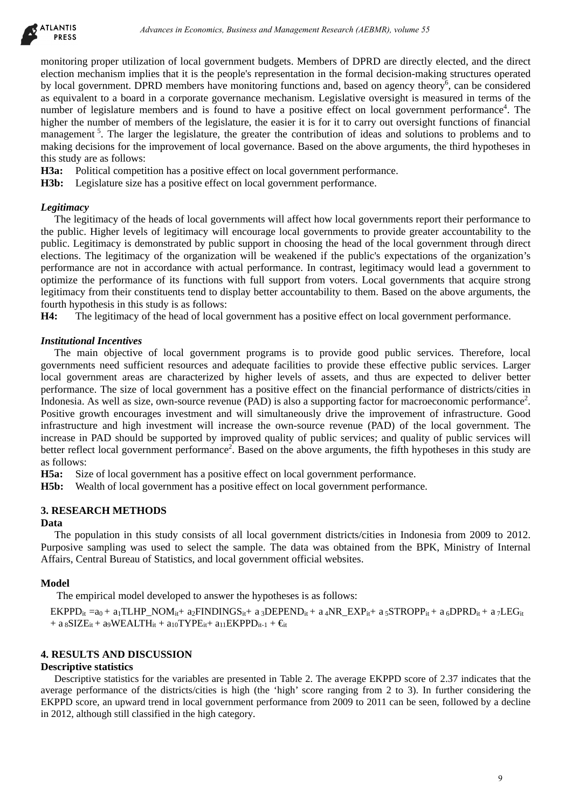

monitoring proper utilization of local government budgets. Members of DPRD are directly elected, and the direct election mechanism implies that it is the people's representation in the formal decision-making structures operated by local government. DPRD members have monitoring functions and, based on agency theory<sup>6</sup>, can be considered as equivalent to a board in a corporate governance mechanism. Legislative oversight is measured in terms of the number of legislature members and is found to have a positive effect on local government performance<sup>4</sup>. The higher the number of members of the legislature, the easier it is for it to carry out oversight functions of financial management<sup>5</sup>. The larger the legislature, the greater the contribution of ideas and solutions to problems and to making decisions for the improvement of local governance. Based on the above arguments, the third hypotheses in this study are as follows:

**H3a:** Political competition has a positive effect on local government performance.

**H3b:** Legislature size has a positive effect on local government performance.

#### *Legitimacy*

The legitimacy of the heads of local governments will affect how local governments report their performance to the public. Higher levels of legitimacy will encourage local governments to provide greater accountability to the public. Legitimacy is demonstrated by public support in choosing the head of the local government through direct elections. The legitimacy of the organization will be weakened if the public's expectations of the organization's performance are not in accordance with actual performance. In contrast, legitimacy would lead a government to optimize the performance of its functions with full support from voters. Local governments that acquire strong legitimacy from their constituents tend to display better accountability to them. Based on the above arguments, the fourth hypothesis in this study is as follows:

**H4:** The legitimacy of the head of local government has a positive effect on local government performance.

#### *Institutional Incentives*

The main objective of local government programs is to provide good public services. Therefore, local governments need sufficient resources and adequate facilities to provide these effective public services. Larger local government areas are characterized by higher levels of assets, and thus are expected to deliver better performance. The size of local government has a positive effect on the financial performance of districts/cities in Indonesia. As well as size, own-source revenue (PAD) is also a supporting factor for macroeconomic performance<sup>2</sup>. Positive growth encourages investment and will simultaneously drive the improvement of infrastructure. Good infrastructure and high investment will increase the own-source revenue (PAD) of the local government. The increase in PAD should be supported by improved quality of public services; and quality of public services will better reflect local government performance<sup>2</sup>. Based on the above arguments, the fifth hypotheses in this study are as follows:

**H5a:** Size of local government has a positive effect on local government performance.

**H5b:** Wealth of local government has a positive effect on local government performance.

### **3. RESEARCH METHODS**

### **Data**

The population in this study consists of all local government districts/cities in Indonesia from 2009 to 2012. Purposive sampling was used to select the sample. The data was obtained from the BPK, Ministry of Internal Affairs, Central Bureau of Statistics, and local government official websites.

#### **Model**

The empirical model developed to answer the hypotheses is as follows:

 $EKPPD_{it} = a_0 + a_1TLHP_NOM_{it} + a_2FINDINGS_{it} + a_3DEPEND_{it} + a_4NR_EXP_{it} + a_5STROPP_{it} + a_6DPRD_{it} + a_7LEG_{it}$ + a  $_8$ SIZE<sub>it</sub> + a<sub>9</sub>WEALTH<sub>it</sub> + a<sub>10</sub>TYPE<sub>it</sub> + a<sub>11</sub>EKPPD<sub>it-1</sub> +  $\epsilon$ <sub>it</sub>

# **4. RESULTS AND DISCUSSION**

#### **Descriptive statistics**

Descriptive statistics for the variables are presented in Table 2. The average EKPPD score of 2.37 indicates that the average performance of the districts/cities is high (the 'high' score ranging from 2 to 3). In further considering the EKPPD score, an upward trend in local government performance from 2009 to 2011 can be seen, followed by a decline in 2012, although still classified in the high category.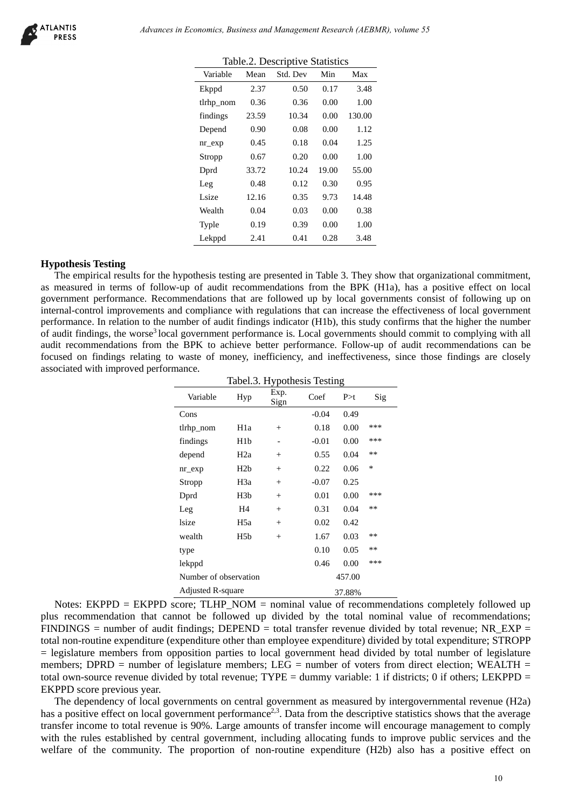|           |       | raore. Desempare Bramshes |       |        |
|-----------|-------|---------------------------|-------|--------|
| Variable  | Mean  | Std. Dev                  | Min   | Max    |
| Ekppd     | 2.37  | 0.50                      | 0.17  | 3.48   |
| tlrhp_nom | 0.36  | 0.36                      | 0.00  | 1.00   |
| findings  | 23.59 | 10.34                     | 0.00  | 130.00 |
| Depend    | 0.90  | 0.08                      | 0.00  | 1.12   |
| $nr\_exp$ | 0.45  | 0.18                      | 0.04  | 1.25   |
| Stropp    | 0.67  | 0.20                      | 0.00  | 1.00   |
| Dprd      | 33.72 | 10.24                     | 19.00 | 55.00  |
| Leg       | 0.48  | 0.12                      | 0.30  | 0.95   |
| Lsize     | 12.16 | 0.35                      | 9.73  | 14.48  |
| Wealth    | 0.04  | 0.03                      | 0.00  | 0.38   |
| Typle     | 0.19  | 0.39                      | 0.00  | 1.00   |
| Lekppd    | 2.41  | 0.41                      | 0.28  | 3.48   |
|           |       |                           |       |        |

Table.2. Descriptive Statistics

#### **Hypothesis Testing**

The empirical results for the hypothesis testing are presented in Table 3. They show that organizational commitment, as measured in terms of follow-up of audit recommendations from the BPK (H1a), has a positive effect on local government performance. Recommendations that are followed up by local governments consist of following up on internal-control improvements and compliance with regulations that can increase the effectiveness of local government performance. In relation to the number of audit findings indicator (H1b), this study confirms that the higher the number of audit findings, the worse3 local government performance is. Local governments should commit to complying with all audit recommendations from the BPK to achieve better performance. Follow-up of audit recommendations can be focused on findings relating to waste of money, inefficiency, and ineffectiveness, since those findings are closely associated with improved performance.

|                | Variable                 | Mean             | Table.2. Descriptive Statistics<br>Std. Dev | Min          | Max              |        |                                                                                                                                                                                                                                                                                                                                                                                                                                                                                                                                                                                                      |  |
|----------------|--------------------------|------------------|---------------------------------------------|--------------|------------------|--------|------------------------------------------------------------------------------------------------------------------------------------------------------------------------------------------------------------------------------------------------------------------------------------------------------------------------------------------------------------------------------------------------------------------------------------------------------------------------------------------------------------------------------------------------------------------------------------------------------|--|
|                | Ekppd                    | 2.37             | 0.50                                        | 0.17         | 3.48             |        |                                                                                                                                                                                                                                                                                                                                                                                                                                                                                                                                                                                                      |  |
|                | tlrhp_nom                | 0.36             | 0.36                                        | 0.00         | 1.00             |        |                                                                                                                                                                                                                                                                                                                                                                                                                                                                                                                                                                                                      |  |
|                | findings                 | 23.59            | 10.34                                       | 0.00         | 130.00           |        |                                                                                                                                                                                                                                                                                                                                                                                                                                                                                                                                                                                                      |  |
|                | Depend                   | 0.90             | 0.08                                        | 0.00         | 1.12             |        |                                                                                                                                                                                                                                                                                                                                                                                                                                                                                                                                                                                                      |  |
|                | $nr\_exp$                | 0.45             | 0.18                                        | 0.04         | 1.25             |        |                                                                                                                                                                                                                                                                                                                                                                                                                                                                                                                                                                                                      |  |
|                | Stropp                   | 0.67             | 0.20                                        | 0.00         | 1.00             |        |                                                                                                                                                                                                                                                                                                                                                                                                                                                                                                                                                                                                      |  |
|                | Dprd                     | 33.72            | 10.24                                       | 19.00        | 55.00            |        |                                                                                                                                                                                                                                                                                                                                                                                                                                                                                                                                                                                                      |  |
|                | Leg                      | 0.48             | 0.12                                        | 0.30         | 0.95             |        |                                                                                                                                                                                                                                                                                                                                                                                                                                                                                                                                                                                                      |  |
|                | Lsize                    | 12.16            | 0.35                                        | 9.73         | 14.48            |        |                                                                                                                                                                                                                                                                                                                                                                                                                                                                                                                                                                                                      |  |
|                | Wealth                   | 0.04             | 0.03                                        | 0.00         | 0.38             |        |                                                                                                                                                                                                                                                                                                                                                                                                                                                                                                                                                                                                      |  |
|                | Typle                    | 0.19             | 0.39                                        | 0.00         | 1.00             |        |                                                                                                                                                                                                                                                                                                                                                                                                                                                                                                                                                                                                      |  |
|                | Lekppd                   | 2.41             | 0.41                                        | 0.28         | 3.48             |        |                                                                                                                                                                                                                                                                                                                                                                                                                                                                                                                                                                                                      |  |
| d performance. |                          |                  |                                             |              |                  |        | to the number of audit findings indicator (H1b), this study confirms that the higher the i<br>price <sup>3</sup> local government performance is. Local governments should commit to complying<br>from the BPK to achieve better performance. Follow-up of audit recommendations<br>ating to waste of money, inefficiency, and ineffectiveness, since those findings are                                                                                                                                                                                                                             |  |
|                |                          |                  | Tabel.3. Hypothesis Testing                 |              |                  |        |                                                                                                                                                                                                                                                                                                                                                                                                                                                                                                                                                                                                      |  |
|                |                          |                  | Exp.                                        |              |                  |        |                                                                                                                                                                                                                                                                                                                                                                                                                                                                                                                                                                                                      |  |
|                | Variable                 | Hyp              | Sign                                        | Coef         | P > t            | Sig    |                                                                                                                                                                                                                                                                                                                                                                                                                                                                                                                                                                                                      |  |
|                | Cons                     |                  |                                             |              |                  |        |                                                                                                                                                                                                                                                                                                                                                                                                                                                                                                                                                                                                      |  |
|                |                          |                  |                                             | $-0.04$      | 0.49             |        |                                                                                                                                                                                                                                                                                                                                                                                                                                                                                                                                                                                                      |  |
|                | tlrhp_nom                | H <sub>1</sub> a | $^{+}$                                      | 0.18         | 0.00             | ***    |                                                                                                                                                                                                                                                                                                                                                                                                                                                                                                                                                                                                      |  |
|                | findings                 | H <sub>1</sub> b |                                             | $-0.01$      | 0.00             | ***    |                                                                                                                                                                                                                                                                                                                                                                                                                                                                                                                                                                                                      |  |
|                | depend                   | H2a              | $^{+}$                                      | 0.55         | 0.04             | **     |                                                                                                                                                                                                                                                                                                                                                                                                                                                                                                                                                                                                      |  |
|                | $nr\_exp$                | H <sub>2</sub> b | $\! + \!\!\!\!$                             | 0.22         | 0.06             | $\ast$ |                                                                                                                                                                                                                                                                                                                                                                                                                                                                                                                                                                                                      |  |
|                | Stropp                   | H <sub>3</sub> a | $^{+}$                                      | $-0.07$      | 0.25             | ***    |                                                                                                                                                                                                                                                                                                                                                                                                                                                                                                                                                                                                      |  |
|                | Dprd                     | H <sub>3</sub> b | $^{+}$                                      | 0.01         | $0.00\,$         | **     |                                                                                                                                                                                                                                                                                                                                                                                                                                                                                                                                                                                                      |  |
|                | Leg                      | H4               | $^{+}$                                      | 0.31         | 0.04             |        |                                                                                                                                                                                                                                                                                                                                                                                                                                                                                                                                                                                                      |  |
|                | <b>lsize</b>             | H <sub>5</sub> a | $^{+}$                                      | 0.02         | 0.42             | **     |                                                                                                                                                                                                                                                                                                                                                                                                                                                                                                                                                                                                      |  |
|                | wealth                   | H <sub>5</sub> b | $^{+}$                                      | 1.67         | 0.03             | **     |                                                                                                                                                                                                                                                                                                                                                                                                                                                                                                                                                                                                      |  |
|                | type<br>lekppd           |                  |                                             | 0.10<br>0.46 | 0.05<br>$0.00\,$ | ***    |                                                                                                                                                                                                                                                                                                                                                                                                                                                                                                                                                                                                      |  |
|                | Number of observation    |                  |                                             |              | 457.00           |        |                                                                                                                                                                                                                                                                                                                                                                                                                                                                                                                                                                                                      |  |
|                |                          |                  |                                             |              |                  |        |                                                                                                                                                                                                                                                                                                                                                                                                                                                                                                                                                                                                      |  |
|                | <b>Adjusted R-square</b> |                  |                                             |              | 37.88%           |        | KPPD score; $TLHP1 NOM = nominal value of recommendations completely follow$<br>that cannot be followed up divided by the total nominal value of recommend<br>of audit findings; DEPEND = total transfer revenue divided by total revenue; NR<br>diture (expenditure other than employee expenditure) divided by total expenditure; ST<br>from opposition parties to local government head divided by total number of legi<br>mber of legislature members; $LEG =$ number of voters from direct election; WEA<br>a divided by total revenue; TYPE = dummy variable: 1 if districts; 0 if others; LEK |  |
| year.          |                          |                  |                                             |              |                  |        | local governments on central government as measured by intergovernmental revenue<br>local government performance <sup>2,3</sup> . Data from the descriptive statistics shows that the a<br>revenue is 90%. Large amounts of transfer income will encourage management to or<br>ed by central government, including allocating funds to improve public services a<br>unity. The proportion of non-routine expenditure (H2b) also has a positive eff                                                                                                                                                   |  |

Notes: EKPPD = EKPPD score; TLHP\_NOM = nominal value of recommendations completely followed up plus recommendation that cannot be followed up divided by the total nominal value of recommendations;  $FINDINGS = number of audit findings; DEPEND = total transfer revenue divided by total revenue; NR\_EXP =$ total non-routine expenditure (expenditure other than employee expenditure) divided by total expenditure; STROPP = legislature members from opposition parties to local government head divided by total number of legislature members; DPRD = number of legislature members; LEG = number of voters from direct election; WEALTH = total own-source revenue divided by total revenue;  $TYPE =$  dummy variable: 1 if districts; 0 if others; LEKPPD = EKPPD score previous year.

The dependency of local governments on central government as measured by intergovernmental revenue (H2a) has a positive effect on local government performance<sup>2,3</sup>. Data from the descriptive statistics shows that the average transfer income to total revenue is 90%. Large amounts of transfer income will encourage management to comply with the rules established by central government, including allocating funds to improve public services and the welfare of the community. The proportion of non-routine expenditure (H2b) also has a positive effect on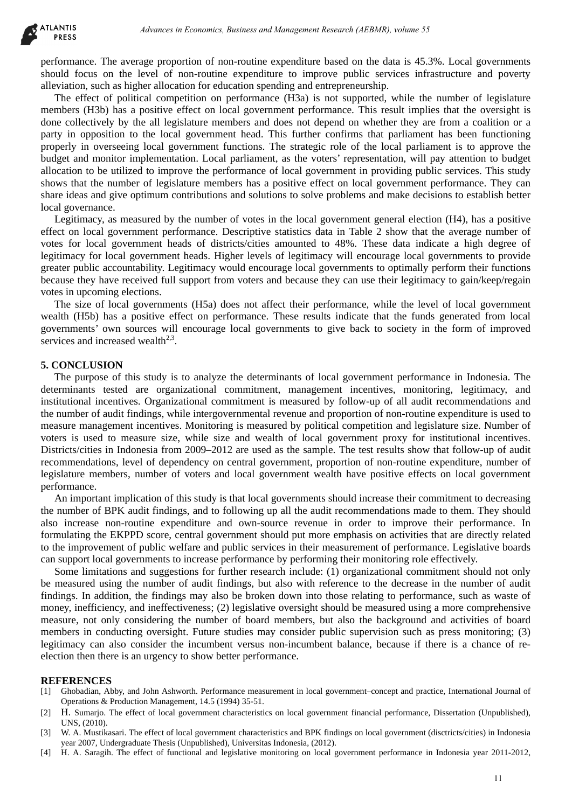performance. The average proportion of non-routine expenditure based on the data is 45.3%. Local governments should focus on the level of non-routine expenditure to improve public services infrastructure and poverty alleviation, such as higher allocation for education spending and entrepreneurship.

The effect of political competition on performance (H3a) is not supported, while the number of legislature members (H3b) has a positive effect on local government performance. This result implies that the oversight is done collectively by the all legislature members and does not depend on whether they are from a coalition or a party in opposition to the local government head. This further confirms that parliament has been functioning properly in overseeing local government functions. The strategic role of the local parliament is to approve the budget and monitor implementation. Local parliament, as the voters' representation, will pay attention to budget allocation to be utilized to improve the performance of local government in providing public services. This study shows that the number of legislature members has a positive effect on local government performance. They can share ideas and give optimum contributions and solutions to solve problems and make decisions to establish better local governance. debuses in Economics, Busines and Management Research (AEBMR), volume 53<br>
ange proportion of one sourcine expendiative based on the data is 43.38. I. Geal government of the source of the parameter and the data is 43.38. I.

Legitimacy, as measured by the number of votes in the local government general election (H4), has a positive effect on local government performance. Descriptive statistics data in Table 2 show that the average number of votes for local government heads of districts/cities amounted to 48%. These data indicate a high degree of legitimacy for local government heads. Higher levels of legitimacy will encourage local governments to provide greater public accountability. Legitimacy would encourage local governments to optimally perform their functions because they have received full support from voters and because they can use their legitimacy to gain/keep/regain votes in upcoming elections.

The size of local governments (H5a) does not affect their performance, while the level of local government wealth (H5b) has a positive effect on performance. These results indicate that the funds generated from local governments' own sources will encourage local governments to give back to society in the form of improved services and increased wealth $2<sup>3</sup>$ .

# **5. CONCLUSION**

The purpose of this study is to analyze the determinants of local government performance in Indonesia. The determinants tested are organizational commitment, management incentives, monitoring, legitimacy, and institutional incentives. Organizational commitment is measured by follow-up of all audit recommendations and the number of audit findings, while intergovernmental revenue and proportion of non-routine expenditure is used to measure management incentives. Monitoring is measured by political competition and legislature size. Number of voters is used to measure size, while size and wealth of local government proxy for institutional incentives. Districts/cities in Indonesia from 2009–2012 are used as the sample. The test results show that follow-up of audit recommendations, level of dependency on central government, proportion of non-routine expenditure, number of legislature members, number of voters and local government wealth have positive effects on local government performance.

An important implication of this study is that local governments should increase their commitment to decreasing the number of BPK audit findings, and to following up all the audit recommendations made to them. They should also increase non-routine expenditure and own-source revenue in order to improve their performance. In formulating the EKPPD score, central government should put more emphasis on activities that are directly related to the improvement of public welfare and public services in their measurement of performance. Legislative boards can support local governments to increase performance by performing their monitoring role effectively.

Some limitations and suggestions for further research include: (1) organizational commitment should not only be measured using the number of audit findings, but also with reference to the decrease in the number of audit findings. In addition, the findings may also be broken down into those relating to performance, such as waste of money, inefficiency, and ineffectiveness; (2) legislative oversight should be measured using a more comprehensive measure, not only considering the number of board members, but also the background and activities of board members in conducting oversight. Future studies may consider public supervision such as press monitoring; (3) legitimacy can also consider the incumbent versus non-incumbent balance, because if there is a chance of reelection then there is an urgency to show better performance.

#### **REFERENCES**

- [1] Ghobadian, Abby, and John Ashworth. Performance measurement in local government–concept and practice, International Journal of Operations & Production Management, 14.5 (1994) 35-51.
- [2] H. Sumarjo. The effect of local government characteristics on local government financial performance, Dissertation (Unpublished), UNS, (2010).
- [3] W. A. Mustikasari. The effect of local government characteristics and BPK findings on local government (disctricts/cities) in Indonesia year 2007, Undergraduate Thesis (Unpublished), Universitas Indonesia, (2012).
- [4] H. A. Saragih. The effect of functional and legislative monitoring on local government performance in Indonesia year 2011-2012,